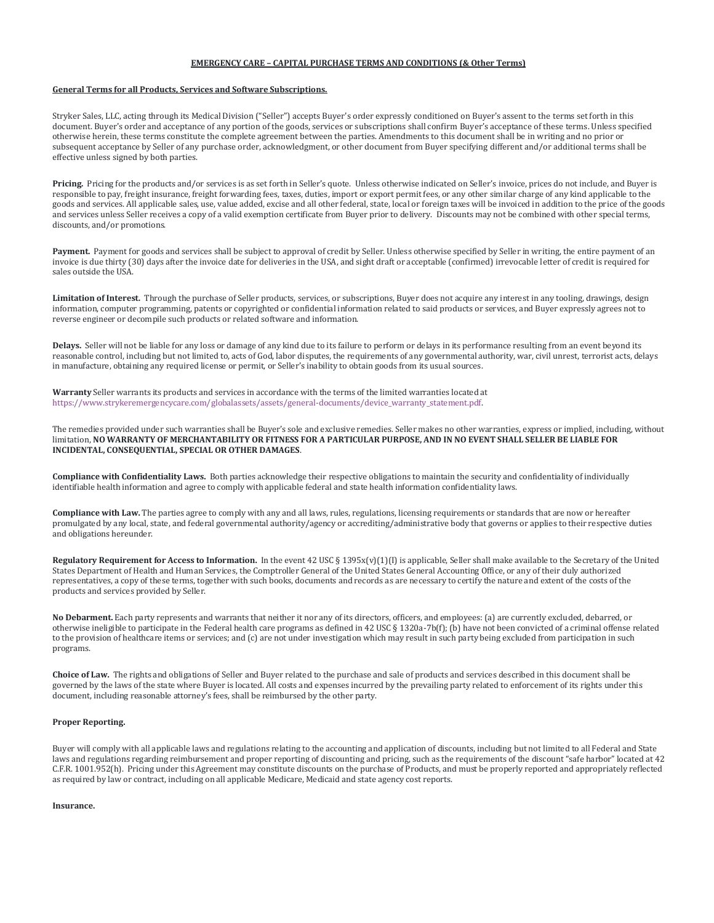# **EMERGENCY CARE – CAPITAL PURCHASE TERMS AND CONDITIONS (& Other Terms)**

### **General Terms for all Products, Services and Software Subscriptions.**

Stryker Sales, LLC, acting through its Medical Division ("Seller") accepts Buyer's order expressly conditioned on Buyer's assent to the terms set forth in this document. Buyer's order and acceptance of any portion of the goods, services or subscriptions shall confirm Buyer's acceptance of these terms. Unless specified otherwise herein, these terms constitute the complete agreement between the parties. Amendments to this document shall be in writing and no prior or subsequent acceptance by Seller of any purchase order, acknowledgment, or other document from Buyer specifying different and/or additional terms shall be effective unless signed by both parties.

**Pricing.** Pricing for the products and/or services is as set forth in Seller's quote. Unless otherwise indicated on Seller's invoice, prices do not include, and Buyer is responsible to pay, freight insurance, freight forwarding fees, taxes, duties, import or export permit fees, or any other similar charge of any kind applicable to the goods and services. All applicable sales, use, value added, excise and all other federal, state, local or foreign taxes will be invoiced in addition to the price of the goods and services unless Seller receives a copy of a valid exemption certificate from Buyer prior to delivery. Discounts may not be combined with other special terms, discounts, and/or promotions.

Payment. Payment for goods and services shall be subject to approval of credit by Seller. Unless otherwise specified by Seller in writing, the entire payment of an invoice is due thirty (30) days after the invoice date for deliveries in the USA, and sight draft or acceptable (confirmed) irrevocable letter of credit is required for sales outside the USA.

Limitation of Interest. Through the purchase of Seller products, services, or subscriptions, Buyer does not acquire any interest in any tooling, drawings, design information, computer programming, patents or copyrighted or confidential information related to said products or services, and Buyer expressly agrees not to reverse engineer or decompile such products or related software and information.

**Delays.** Seller will not be liable for any loss or damage of any kind due to its failure to perform or delays in its performance resulting from an event beyond its reasonable control, including but not limited to, acts of God, labor disputes, the requirements of any governmental authority, war, civil unrest, terrorist acts, delays in manufacture, obtaining any required license or permit, or Seller's inability to obtain goods from its usual sources.

**Warranty** Seller warrants its products and services in accordance with the terms of the limited warranties located at [https://www.strykeremergencycare.com/globalassets/assets/general-documents/device\\_warranty\\_statement.pdf.](https://www.strykeremergencycare.com/globalassets/assets/general-documents/device_warranty_statement.pdf)

The remedies provided under such warranties shall be Buyer's sole and exclusive remedies. Seller makes no other warranties, express or implied, including, without limitation, **NO WARRANTY OF MERCHANTABILITY OR FITNESS FOR A PARTICULAR PURPOSE, AND IN NO EVENT SHALL SELLER BE LIABLE FOR INCIDENTAL, CONSEQUENTIAL, SPECIAL OR OTHER DAMAGES**.

**Compliance with Confidentiality Laws.** Both parties acknowledge their respective obligations to maintain the security and confidentiality of individually identifiable health information and agree to comply with applicable federal and state health information confidentiality laws.

**Compliance with Law.** The parties agree to comply with any and all laws, rules, regulations, licensing requirements or standards that are now or hereafter promulgated by any local, state, and federal governmental authority/agency or accrediting/administrative body that governs or applies to their respective duties and obligations hereunder.

**Regulatory Requirement for Access to Information.** In the event 42 USC § 1395x(v)(1)(I) is applicable, Seller shall make available to the Secretary of the United States Department of Health and Human Services, the Comptroller General of the United States General Accounting Office, or any of their duly authorized representatives, a copy of these terms, together with such books, documents and records as are necessary to certify the nature and extent of the costs of the products and services provided by Seller.

**No Debarment.** Each party represents and warrants that neither it nor any of its directors, officers, and employees: (a) are currently excluded, debarred, or otherwise ineligible to participate in the Federal health care programs as defined in 42 USC § 1320a-7b(f); (b) have not been convicted of a criminal offense related to the provision of healthcare items or services; and (c) are not under investigation which may result in such party being excluded from participation in such programs.

**Choice of Law.** The rights and obligations of Seller and Buyer related to the purchase and sale of products and services described in this document shall be governed by the laws of the state where Buyer is located. All costs and expenses incurred by the prevailing party related to enforcement of its rights under this document, including reasonable attorney's fees, shall be reimbursed by the other party.

### **Proper Reporting.**

Buyer will comply with all applicable laws and regulations relating to the accounting and application of discounts, including but not limited to all Federal and State laws and regulations regarding reimbursement and proper reporting of discounting and pricing, such as the requirements of the discount "safe harbor" located at 42 C.F.R. 1001.952(h). Pricing under this Agreement may constitute discounts on the purchase of Products, and must be properly reported and appropriately reflected as required by law or contract, including on all applicable Medicare, Medicaid and state agency cost reports.

## **Insurance.**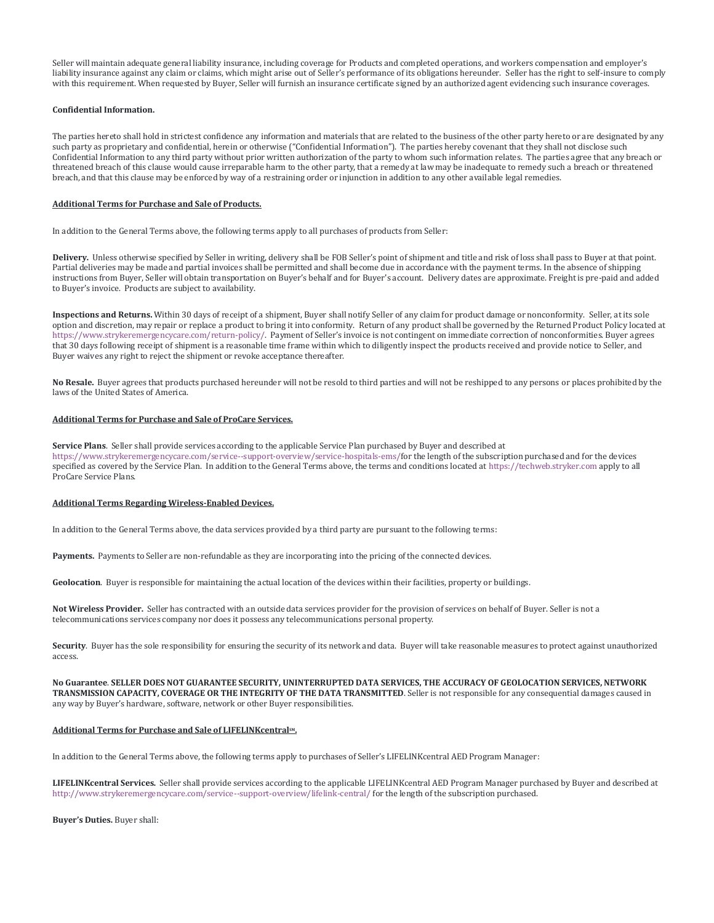Seller will maintain adequate general liability insurance, including coverage for Products and completed operations, and workers compensation and employer's liability insurance against any claim or claims, which might arise out of Seller's performance of its obligations hereunder. Seller has the right to self-insure to comply with this requirement. When requested by Buyer, Seller will furnish an insurance certificate signed by an authorized agent evidencing such insurance coverages.

#### **Confidential Information.**

The parties hereto shall hold in strictest confidence any information and materials that are related to the business of the other party hereto or are designated by any such party as proprietary and confidential, herein or otherwise ("Confidential Information"). The parties hereby covenant that they shall not disclose such Confidential Information to any third party without prior written authorization of the party to whom such information relates. The parties agree that any breach or threatened breach of this clause would cause irreparable harm to the other party, that a remedy at law may be inadequate to remedy such a breach or threatened breach, and that this clause may be enforced by way of a restraining order or injunction in addition to any other available legal remedies.

### **Additional Terms for Purchase and Sale of Products.**

In addition to the General Terms above, the following terms apply to all purchases of products from Seller:

**Delivery.** Unless otherwise specified by Seller in writing, delivery shall be FOB Seller's point of shipment and title and risk of loss shall pass to Buyer at that point. Partial deliveries may be made and partial invoices shall be permitted and shall become due in accordance with the payment terms. In the absence of shipping instructions from Buyer, Seller will obtain transportation on Buyer's behalf and for Buyer's account. Delivery dates are approximate. Freight is pre-paid and added to Buyer's invoice. Products are subject to availability.

**Inspections and Returns.** Within 30 days of receipt of a shipment, Buyer shall notify Seller of any claim for product damage or nonconformity. Seller, at its sole option and discretion, may repair or replace a product to bring it into conformity. Return of any product shall be governed by the Returned Product Policy located at [https://www.strykeremergencycare.com/return-policy/.](https://www.strykeremergencycare.com/return-policy/) Payment of Seller's invoice is not contingent on immediate correction of nonconformities. Buyer agrees that 30 days following receipt of shipment is a reasonable time frame within which to diligently inspect the products received and provide notice to Seller, and Buyer waives any right to reject the shipment or revoke acceptance thereafter.

**No Resale.** Buyer agrees that products purchased hereunder will not be resold to third parties and will not be reshipped to any persons or places prohibited by the laws of the United States of America.

### **Additional Terms for Purchase and Sale of ProCare Services.**

**Service Plans**. Seller shall provide services according to the applicable Service Plan purchased by Buyer and described at [https://www.strykeremergencycare.com/service--support-overview/service-hospitals-ems/f](https://www.strykeremergencycare.com/service--support-overview/service-hospitals-ems/)or the length of the subscription purchased and for the devices specified as covered by the Service Plan. In addition to the General Terms above, the terms and conditions located a[t https://techweb.stryker.com](https://techweb.stryker.com/) apply to all ProCare Service Plans.

# **Additional Terms Regarding Wireless-Enabled Devices.**

In addition to the General Terms above, the data services provided by a third party are pursuant to the following terms:

**Payments.** Payments to Seller are non-refundable as they are incorporating into the pricing of the connected devices.

**Geolocation**. Buyer is responsible for maintaining the actual location of the devices within their facilities, property or buildings.

**Not Wireless Provider.** Seller has contracted with an outside data services provider for the provision of services on behalf of Buyer. Seller is not a telecommunications services company nor does it possess any telecommunications personal property.

**Security**. Buyer has the sole responsibility for ensuring the security of its network and data. Buyer will take reasonable measures to protect against unauthorized access.

**No Guarantee**. **SELLER DOES NOT GUARANTEE SECURITY, UNINTERRUPTED DATA SERVICES, THE ACCURACY OF GEOLOCATION SERVICES, NETWORK TRANSMISSION CAPACITY, COVERAGE OR THE INTEGRITY OF THE DATA TRANSMITTED**. Seller is not responsible for any consequential damages caused in any way by Buyer's hardware, software, network or other Buyer responsibilities.

#### **Additional Terms for Purchase and Sale of LIFELINKcentralSM.**

In addition to the General Terms above, the following terms apply to purchases of Seller's LIFELINKcentral AED Program Manager:

**LIFELINKcentral Services.** Seller shall provide services according to the applicable LIFELINKcentral AED Program Manager purchased by Buyer and described at <http://www.strykeremergencycare.com/service--support-overview/lifelink-central/> for the length of the subscription purchased.

**Buyer's Duties.** Buyer shall: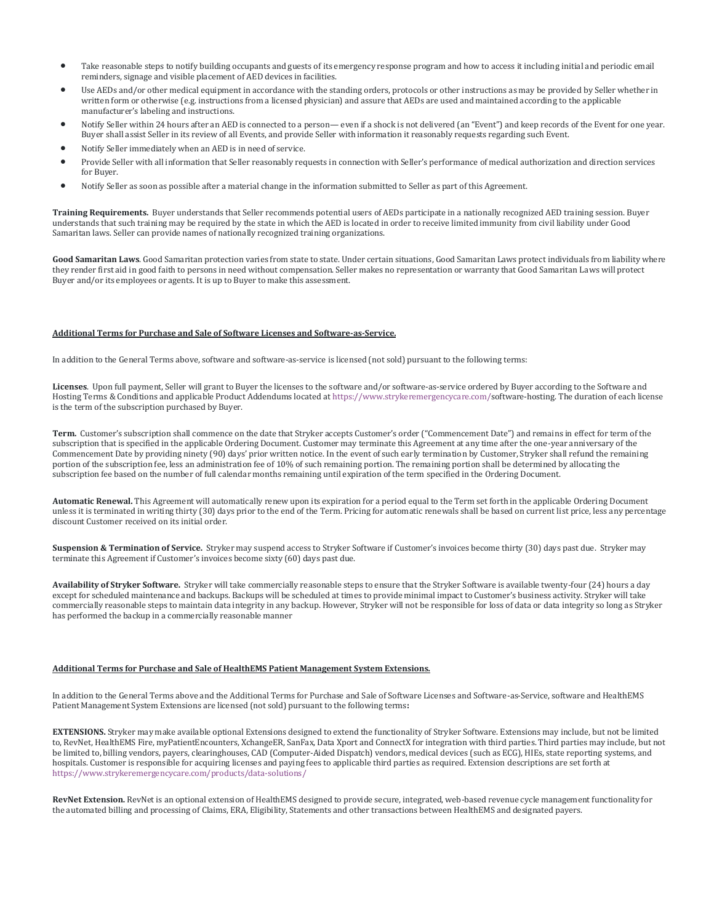- Take reasonable steps to notify building occupants and guests of its emergency response program and how to access it including initial and periodic email reminders, signage and visible placement of AED devices in facilities.
- Use AEDs and/or other medical equipment in accordance with the standing orders, protocols or other instructions as may be provided by Seller whether in written form or otherwise (e.g. instructions from a licensed physician) and assure that AEDs are used and maintained according to the applicable manufacturer's labeling and instructions.
- Notify Seller within 24 hours after an AED is connected to a person— even if a shock is not delivered (an "Event") and keep records of the Event for one year. Buyer shall assist Seller in its review of all Events, and provide Seller with information it reasonably requests regarding such Event.
- Notify Seller immediately when an AED is in need of service.
- Provide Seller with all information that Seller reasonably requests in connection with Seller's performance of medical authorization and direction services for Buyer.
- Notify Seller as soon as possible after a material change in the information submitted to Seller as part of this Agreement.

**Training Requirements.** Buyer understands that Seller recommends potential users of AEDs participate in a nationally recognized AED training session. Buyer understands that such training may be required by the state in which the AED is located in order to receive limited immunity from civil liability under Good Samaritan laws. Seller can provide names of nationally recognized training organizations.

**Good Samaritan Laws**. Good Samaritan protection varies from state to state. Under certain situations, Good Samaritan Laws protect individuals from liability where they render first aid in good faith to persons in need without compensation. Seller makes no representation or warranty that Good Samaritan Laws will protect Buyer and/or its employees or agents. It is up to Buyer to make this assessment.

### **Additional Terms for Purchase and Sale of Software Licenses and Software-as-Service.**

In addition to the General Terms above, software and software-as-service is licensed (not sold) pursuant to the following terms:

**Licenses**. Upon full payment, Seller will grant to Buyer the licenses to the software and/or software-as-service ordered by Buyer according to the Software and Hosting Terms & Conditions and applicable Product Addendums located a[t https://www.strykeremergencycare.com/s](https://www.strykeremergencycare.com/)oftware-hosting. The duration of each license is the term of the subscription purchased by Buyer.

**Term.** Customer's subscription shall commence on the date that Stryker accepts Customer's order ("Commencement Date") and remains in effect for term of the subscription that is specified in the applicable Ordering Document. Customer may terminate this Agreement at any time after the one-year anniversary of the Commencement Date by providing ninety (90) days' prior written notice. In the event of such early termination by Customer, Stryker shall refund the remaining portion of the subscription fee, less an administration fee of 10% of such remaining portion. The remaining portion shall be determined by allocating the subscription fee based on the number of full calendar months remaining until expiration of the term specified in the Ordering Document.

**Automatic Renewal.** This Agreement will automatically renew upon its expiration for a period equal to the Term set forth in the applicable Ordering Document unless it is terminated in writing thirty (30) days prior to the end of the Term. Pricing for automatic renewals shall be based on current list price, less any percentage discount Customer received on its initial order.

**Suspension & Termination of Service.** Stryker may suspend access to Stryker Software if Customer's invoices become thirty (30) days past due. Stryker may terminate this Agreement if Customer's invoices become sixty (60) days past due.

**Availability of Stryker Software.** Stryker will take commercially reasonable steps to ensure that the Stryker Software is available twenty-four (24) hours a day except for scheduled maintenance and backups. Backups will be scheduled at times to provide minimal impact to Customer's business activity. Stryker will take commercially reasonable steps to maintain data integrity in any backup. However, Stryker will not be responsible for loss of data or data integrity so long as Stryker has performed the backup in a commercially reasonable manner

#### **Additional Terms for Purchase and Sale of HealthEMS Patient Management System Extensions.**

In addition to the General Terms above and the Additional Terms for Purchase and Sale of Software Licenses and Software-as-Service, software and HealthEMS Patient Management System Extensions are licensed (not sold) pursuant to the following terms**:**

**EXTENSIONS.** Stryker may make available optional Extensions designed to extend the functionality of Stryker Software. Extensions may include, but not be limited to, RevNet, HealthEMS Fire, myPatientEncounters, XchangeER, SanFax, Data Xport and ConnectX for integration with third parties. Third parties may include, but not be limited to, billing vendors, payers, clearinghouses, CAD (Computer-Aided Dispatch) vendors, medical devices (such as ECG), HIEs, state reporting systems, and hospitals. Customer is responsible for acquiring licenses and paying fees to applicable third parties as required. Extension descriptions are set forth at <https://www.strykeremergencycare.com/products/data-solutions/>

**RevNet Extension.** RevNet is an optional extension of HealthEMS designed to provide secure, integrated, web-based revenue cycle management functionality for the automated billing and processing of Claims, ERA, Eligibility, Statements and other transactions between HealthEMS and designated payers.